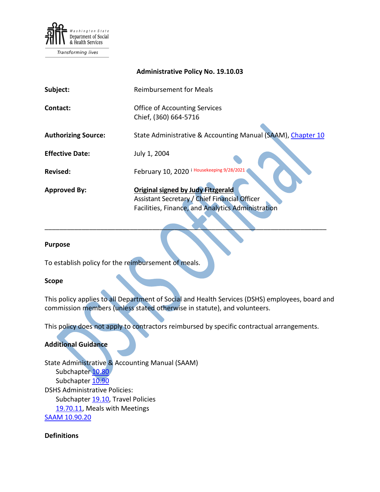

Transforming lives

|                            | <b>Administrative Policy No. 19.10.03</b>                                                                                                |
|----------------------------|------------------------------------------------------------------------------------------------------------------------------------------|
| Subject:                   | <b>Reimbursement for Meals</b>                                                                                                           |
| Contact:                   | <b>Office of Accounting Services</b><br>Chief, (360) 664-5716                                                                            |
| <b>Authorizing Source:</b> | State Administrative & Accounting Manual (SAAM), Chapter 10                                                                              |
| <b>Effective Date:</b>     | July 1, 2004                                                                                                                             |
| Revised:                   | i Housekeeping 9/28/2021<br>February 10, 2020                                                                                            |
| <b>Approved By:</b>        | Original signed by Judy Fitzgerald<br>Assistant Secretary / Chief Financial Officer<br>Facilities, Finance, and Analytics Administration |

\_\_\_\_\_\_\_\_\_\_\_\_\_\_\_\_\_\_\_\_\_\_\_\_\_\_\_\_\_\_\_\_\_\_\_\_\_\_\_\_\_\_\_\_\_\_\_\_\_\_\_\_\_\_\_\_\_\_\_\_\_\_\_\_\_\_\_\_\_\_\_\_\_\_\_\_

#### **Purpose**

To establish policy for the reimbursement of meals.

### **Scope**

This policy applies to all Department of Social and Health Services (DSHS) employees, board and commission members (unless stated otherwise in statute), and volunteers.

This policy does not apply to contractors reimbursed by specific contractual arrangements.

### **Additional Guidance**

State Administrative & Accounting Manual (SAAM) Subchapter [10.80](https://ofm.wa.gov/sites/default/files/public/legacy/policy/10.80.htm) Subchapter [10.90](https://ofm.wa.gov/sites/default/files/public/legacy/policy/10.90.htm) DSHS Administrative Policies: Subchapter [19.10,](http://one.dshs.wa.lcl/policies/Pages/default.aspx) Travel Policies [19.70.11,](http://one.dshs.wa.lcl/Policies/Administrative/DSHS-AP-19-70-11.pdf) Meal[s](https://www.ofm.wa.gov/sites/default/files/public/legacy/policy/10.90a.pdf) with Meetings [SAAM 10.90.20](https://www.ofm.wa.gov/sites/default/files/public/legacy/policy/10.90a.pdf)

**Definitions**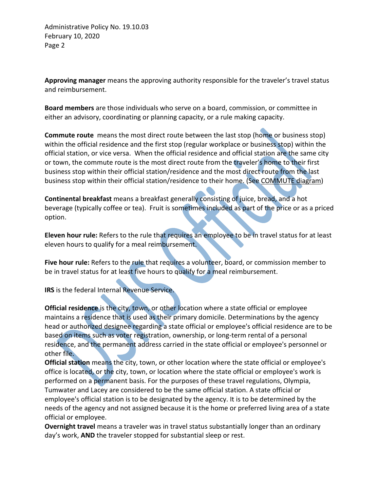**Approving manager** means the approving authority responsible for the traveler's travel status and reimbursement.

**Board members** are those individuals who serve on a board, commission, or committee in either an advisory, coordinating or planning capacity, or a rule making capacity.

**Commute route** means the most direct route between the last stop (home or business stop) within the official residence and the first stop (regular workplace or business stop) within the official station, or vice versa. When the official residence and official station are the same city or town, the commute route is the most direct route from the traveler's home to their first business stop within their official station/residence and the most direct route from the last business stop within their official station/residence to their home. (See [COMMUTE diagram\)](http://fsaweb.dshs.wa.lcl/OAS/Travel/Procedures/Forms/AllItems.aspx)

**Continental breakfast** means a breakfast generally consisting of juice, bread, and a hot beverage (typically coffee or tea). Fruit is sometimes included as part of the price or as a priced option.

**Eleven hour rule:** Refers to the rule that requires an employee to be in travel status for at least eleven hours to qualify for a meal reimbursement.

**Five hour rule:** Refers to the rule that requires a volunteer, board, or commission member to be in travel status for at least five hours to qualify for a meal reimbursement.

**IRS** is the federal Internal Revenue Service.

**[Official residence](http://www.ofm.wa.gov/policy/glossary.htm#official%20residence)** is the city, town, or other location where a state official or employee maintains a residence that is used as their primary domicile. Determinations by the agency head or authorized designee regarding a state official or employee's official residence are to be based on items such as voter registration, ownership, or long-term rental of a personal residence, and the permanent address carried in the state official or employee's personnel or other file.

**[Official station](http://www.ofm.wa.gov/policy/glossary.htm#official%20station)** means the city, town, or other location where the state official or employee's office is located, or the city, town, or location where the state official or employee's work is performed on a permanent basis. For the purposes of these travel regulations, Olympia, Tumwater and Lacey are considered to be the same official station. A state official or employee's official station is to be designated by the agency. It is to be determined by the needs of the agency and not assigned because it is the home or preferred living area of a state official or employee.

**Overnight travel** means a traveler was in travel status substantially longer than an ordinary day's work, **AND** the traveler stopped for substantial sleep or rest.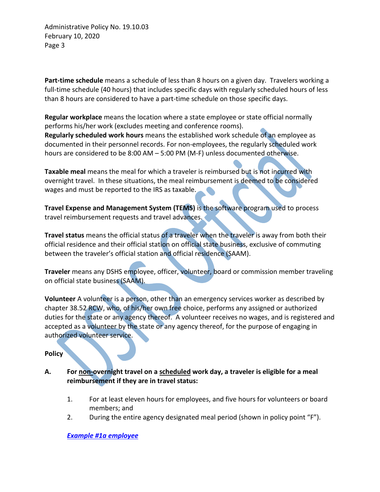**Part-time schedule** means a schedule of less than 8 hours on a given day. Travelers working a full-time schedule (40 hours) that includes specific days with regularly scheduled hours of less than 8 hours are considered to have a part-time schedule on those specific days.

**Regular workplace** means the location where a state employee or state official normally performs his/her work (excludes meeting and conference rooms). **Regularly scheduled work hours** means the established work schedule of an employee as documented in their personnel records. For non-employees, the regularly scheduled work hours are considered to be 8:00 AM – 5:00 PM (M-F) unless documented otherwise.

**Taxable meal** means the meal for which a traveler is reimbursed but is not incurred with overnight travel. In these situations, the meal reimbursement is deemed to be considered wages and must be reported to the IRS as taxable.

**Travel Expense and Management System (TEMS)** is the software program used to process travel reimbursement requests and travel advances.

**Travel status** means the official status of a traveler when the traveler is away from both their official residence and their official station on official state business, exclusive of commuting between the traveler's official station and official residence (SAAM).

**Traveler** means any DSHS employee, officer, volunteer, board or commission member traveling on official state business (SAAM).

**Volunteer** A volunteer is a person, other than an emergency services worker as described by chapter 38.52 RCW, who, of his/her own free choice, performs any assigned or authorized duties for the state or any agency thereof. A volunteer receives no wages, and is registered and accepted as a volunteer by the state or any agency thereof, for the purpose of engaging in authorized volunteer service.

**Policy**

- **A. For non-overnight travel on a scheduled work day, a traveler is eligible for a meal reimbursement if they are in travel status:**
	- 1. For at least eleven hours for employees, and five hours for volunteers or board members; and
	- 2. During the entire agency designated meal period (shown in policy point "F").

*[Example #1a](http://one.dshs.wa.lcl/FS/Fiscal/Accounting/Travel/Documents/DSHS-AP-19-10-03%20Examples.docx#Example1a) employee*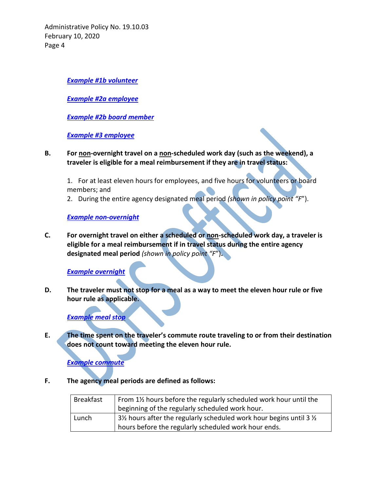*[Example #1b](http://one.dshs.wa.lcl/FS/Fiscal/Accounting/Travel/Documents/DSHS-AP-19-10-03%20Examples.docx#Example1b) volunteer*

*[Example #2a](http://one.dshs.wa.lcl/FS/Fiscal/Accounting/Travel/Documents/DSHS-AP-19-10-03%20Examples.docx#Example2a) employee*

*Example #2b [board member](http://one.dshs.wa.lcl/FS/Fiscal/Accounting/Travel/Documents/DSHS-AP-19-10-03%20Examples.docx#Example2b)*

*[Example #3 employee](http://one.dshs.wa.lcl/FS/Fiscal/Accounting/Travel/Documents/DSHS-AP-19-10-03%20Examples.docx#Example3)*

**B. For non-overnight travel on a non-scheduled work day (such as the weekend), a traveler is eligible for a meal reimbursement if they are in travel status:**

1. For at least eleven hours for employees, and five hours for volunteers or board members; and

2. During the entire agency designated meal period *(shown in policy point "F*").

### *Example [non-overnight](http://one.dshs.wa.lcl/FS/Fiscal/Accounting/Travel/Documents/DSHS-AP-19-10-03%20Examples.docx#Examplenonovernight)*

**C. For overnight travel on either a scheduled or non-scheduled work day, a traveler is eligible for a meal reimbursement if in travel status during the entire agency designated meal period** *(shown in policy point "F*")**.**

*Example [overnight](http://one.dshs.wa.lcl/FS/Fiscal/Accounting/Travel/Documents/DSHS-AP-19-10-03%20Examples.docx#Exampleovernight)*

**D. The traveler must not stop for a meal as a way to meet the eleven hour rule or five hour rule as applicable.**

# *Example [meal stop](http://one.dshs.wa.lcl/FS/Fiscal/Accounting/Travel/Documents/DSHS-AP-19-10-03%20Examples.docx#Examplemealstop)*

**E. The time spent on the traveler's commute route traveling to or from their destination does not count toward meeting the eleven hour rule.** 

*Example [commute](http://one.dshs.wa.lcl/FS/Fiscal/Accounting/Travel/Documents/DSHS-AP-19-10-03%20Examples.docx#Examplecommute)*

**F. The agency meal periods are defined as follows:** 

| <b>Breakfast</b> | From 1% hours before the regularly scheduled work hour until the  |  |
|------------------|-------------------------------------------------------------------|--|
|                  | beginning of the regularly scheduled work hour.                   |  |
| Lunch            | 3½ hours after the regularly scheduled work hour begins until 3 ½ |  |
|                  | hours before the regularly scheduled work hour ends.              |  |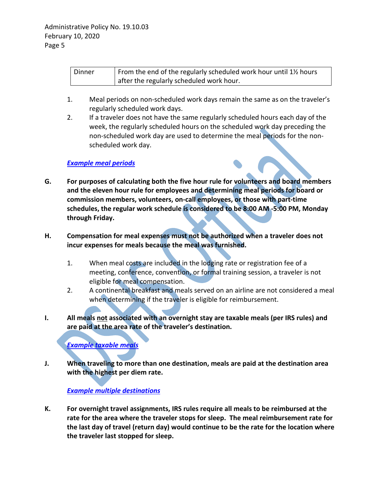| Dinner | From the end of the regularly scheduled work hour until 1\% hours |
|--------|-------------------------------------------------------------------|
|        | after the regularly scheduled work hour.                          |

- 1. Meal periods on non-scheduled work days remain the same as on the traveler's regularly scheduled work days.
- 2. If a traveler does not have the same regularly scheduled hours each day of the week, the regularly scheduled hours on the scheduled work day preceding the non-scheduled work day are used to determine the meal periods for the nonscheduled work day.

## *[Example meal periods](http://one.dshs.wa.lcl/FS/Fiscal/Accounting/Travel/Documents/DSHS-AP-19-10-03%20Examples.docx#Examplemealperiods)*

- **G. For purposes of calculating both the five hour rule for volunteers and board members and the eleven hour rule for employees and determining meal periods for board or commission members, volunteers, on-call employees, or those with part-time schedules, the regular work schedule is considered to be 8:00 AM -5:00 PM, Monday through Friday.**
- **H. Compensation for meal expenses must not be authorized when a traveler does not incur expenses for meals because the meal was furnished.**
	- 1. When meal costs are included in the lodging rate or registration fee of a meeting, conference, convention, or formal training session, a traveler is not eligible for meal compensation.
	- 2. A continental breakfast and meals served on an airline are not considered a meal when determining if the traveler is eligible for reimbursement.
- **I. All meals not associated with an overnight stay are taxable meals (per IRS rules) and are paid at the area rate of the traveler's destination.**

*[Example taxable](http://one.dshs.wa.lcl/FS/Fiscal/Accounting/Travel/Documents/DSHS-AP-19-10-03%20Examples.docx#Exampletaxablemeals) meals*

**J. When traveling to more than one destination, meals are paid at the destination area with the highest per diem rate.** 

# *[Example multiple](http://one.dshs.wa.lcl/FS/Fiscal/Accounting/Travel/Documents/DSHS-AP-19-10-03%20Examples.docx#Examplemultipledestinations) destinations*

**K. For overnight travel assignments, IRS rules require all meals to be reimbursed at the rate for the area where the traveler stops for sleep. The meal reimbursement rate for the last day of travel (return day) would continue to be the rate for the location where the traveler last stopped for sleep.**